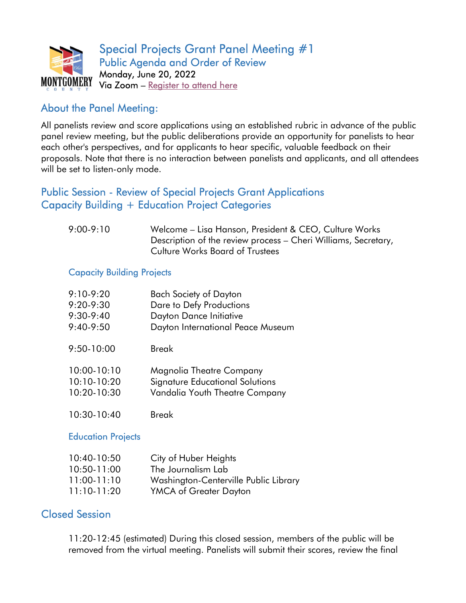

# About the Panel Meeting:

All panelists review and score applications using an established rubric in advance of the public panel review meeting, but the public deliberations provide an opportunity for panelists to hear each other's perspectives, and for applicants to hear specific, valuable feedback on their proposals. Note that there is no interaction between panelists and applicants, and all attendees will be set to listen-only mode.

# Public Session - Review of Special Projects Grant Applications Capacity Building + Education Project Categories

| $9:00-9:10$ | Welcome - Lisa Hanson, President & CEO, Culture Works          |
|-------------|----------------------------------------------------------------|
|             | Description of the review process – Cheri Williams, Secretary, |
|             | <b>Culture Works Board of Trustees</b>                         |

#### Capacity Building Projects

| $9:10-9:20$     | Bach Society of Dayton            |
|-----------------|-----------------------------------|
| 9:20-9:30       | Dare to Defy Productions          |
| $9:30-9:40$     | Dayton Dance Initiative           |
| $9:40-9:50$     | Dayton International Peace Museum |
| $9:50 - 10:00$  | Break                             |
| $10:00 - 10:10$ | Magnolia Theatre Company          |
| $10:10-10:20$   | Signature Educational Solutions   |
| 10:20-10:30     | Vandalia Youth Theatre Company    |
| $10:30-10:40$   | Break                             |

#### **Education Projects**

| $10:40-10:50$   | City of Huber Heights                 |
|-----------------|---------------------------------------|
| $10:50 - 11:00$ | The Journalism Lab                    |
| $11:00-11:10$   | Washington-Centerville Public Library |
| $11:10-11:20$   | YMCA of Greater Dayton                |

## Closed Session

11:20-12:45 (estimated) During this closed session, members of the public will be removed from the virtual meeting. Panelists will submit their scores, review the final